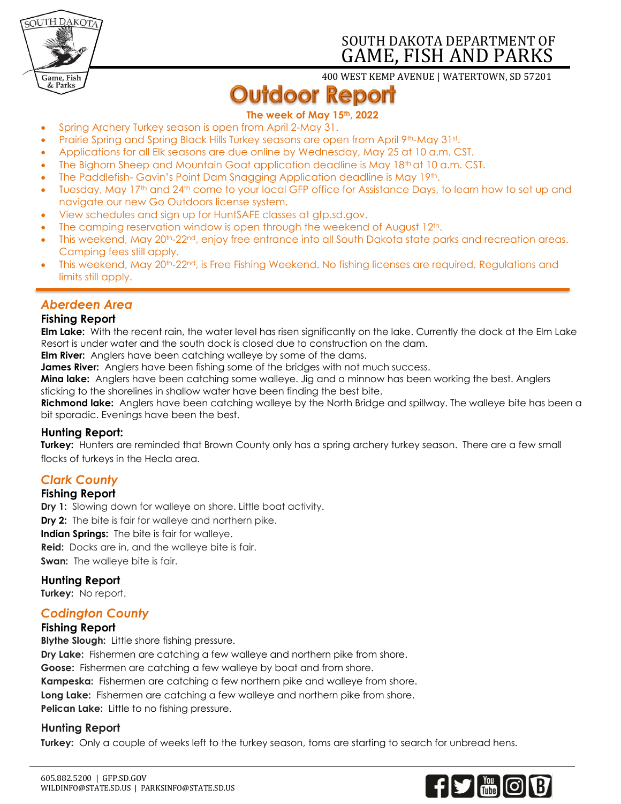

# SOUTH DAKOTA DEPARTMENT OF GAME, FISH AND PARKS

400 WEST KEMP AVENUE | WATERTOWN, SD 57201

# **Outdoor Report**

## **The week of May 15th, 2022**

- Spring Archery Turkey season is open from April 2-May 31.
- Prairie Spring and Spring Black Hills Turkey seasons are open from April 9th-May 31st.
- Applications for all Elk seasons are due online by Wednesday, May 25 at 10 a.m. CST.
- The Bighorn Sheep and Mountain Goat application deadline is May 18<sup>th</sup> at 10 a.m. CST.
- The Paddlefish- Gavin's Point Dam Snagging Application deadline is May 19th.
- Tuesday, May 17th and 24th come to your local GFP office for Assistance Days, to learn how to set up and navigate our new Go Outdoors license system.
- View schedules and sign up for HuntSAFE classes at gfp.sd.gov.
- The camping reservation window is open through the weekend of August  $12<sup>th</sup>$ .
- This weekend, May 20<sup>th</sup>-22<sup>nd</sup>, enjoy free entrance into all South Dakota state parks and recreation areas. Camping fees still apply.
- This weekend, May 20<sup>th</sup>-22<sup>nd</sup>, is Free Fishing Weekend. No fishing licenses are required. Regulations and limits still apply.

# *Aberdeen Area*

## **Fishing Report**

**Elm Lake:** With the recent rain, the water level has risen significantly on the lake. Currently the dock at the Elm Lake Resort is under water and the south dock is closed due to construction on the dam.

**Elm River:** Anglers have been catching walleye by some of the dams.

**James River:** Anglers have been fishing some of the bridges with not much success.

**Mina lake:** Anglers have been catching some walleye. Jig and a minnow has been working the best. Anglers sticking to the shorelines in shallow water have been finding the best bite.

**Richmond lake:** Anglers have been catching walleye by the North Bridge and spillway. The walleye bite has been a bit sporadic. Evenings have been the best.

#### **Hunting Report:**

**Turkey:** Hunters are reminded that Brown County only has a spring archery turkey season. There are a few small flocks of turkeys in the Hecla area.

# *Clark County*

## **Fishing Report**

**Dry 1:** Slowing down for walleye on shore. Little boat activity.

**Dry 2:** The bite is fair for walleye and northern pike.

**Indian Springs:** The bite is fair for walleye.

**Reid:** Docks are in, and the walleye bite is fair.

**Swan:** The walleye bite is fair.

**Hunting Report**

**Turkey:** No report.

## *Codington County*

## **Fishing Report**

**Blythe Slough:** Little shore fishing pressure.

**Dry Lake:** Fishermen are catching a few walleye and northern pike from shore.

**Goose:** Fishermen are catching a few walleye by boat and from shore.

**Kampeska:** Fishermen are catching a few northern pike and walleye from shore.

**Long Lake:** Fishermen are catching a few walleye and northern pike from shore.

**Pelican Lake:** Little to no fishing pressure.

## **Hunting Report**

**Turkey:** Only a couple of weeks left to the turkey season, toms are starting to search for unbread hens.